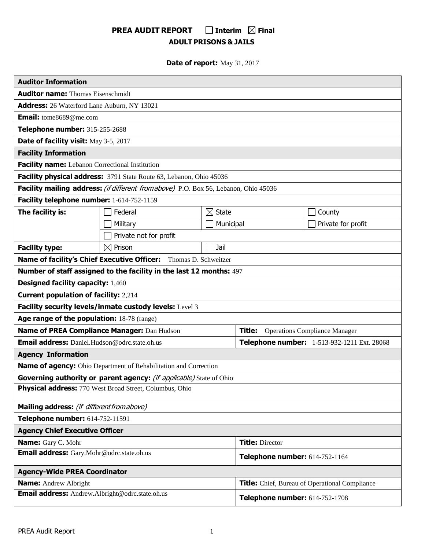# **PREA AUDIT REPORT** □ Interim  $\Omega$  Final **ADULT PRISONS & JAILS**

**Date of report:** May 31, 2017

| <b>Auditor Information</b>                      |                                                                                      |                   |                                |                                                |  |  |  |
|-------------------------------------------------|--------------------------------------------------------------------------------------|-------------------|--------------------------------|------------------------------------------------|--|--|--|
| <b>Auditor name: Thomas Eisenschmidt</b>        |                                                                                      |                   |                                |                                                |  |  |  |
| Address: 26 Waterford Lane Auburn, NY 13021     |                                                                                      |                   |                                |                                                |  |  |  |
| Email: tome8689@me.com                          |                                                                                      |                   |                                |                                                |  |  |  |
| Telephone number: 315-255-2688                  |                                                                                      |                   |                                |                                                |  |  |  |
| Date of facility visit: May 3-5, 2017           |                                                                                      |                   |                                |                                                |  |  |  |
| <b>Facility Information</b>                     |                                                                                      |                   |                                |                                                |  |  |  |
| Facility name: Lebanon Correctional Institution |                                                                                      |                   |                                |                                                |  |  |  |
|                                                 | Facility physical address: 3791 State Route 63, Lebanon, Ohio 45036                  |                   |                                |                                                |  |  |  |
|                                                 | Facility mailing address: (if different from above) P.O. Box 56, Lebanon, Ohio 45036 |                   |                                |                                                |  |  |  |
| Facility telephone number: 1-614-752-1159       |                                                                                      |                   |                                |                                                |  |  |  |
| The facility is:                                | Federal                                                                              | $\boxtimes$ State |                                | County                                         |  |  |  |
|                                                 | Military                                                                             | Municipal         |                                | Private for profit                             |  |  |  |
|                                                 | Private not for profit                                                               |                   |                                |                                                |  |  |  |
| <b>Facility type:</b>                           | $\boxtimes$ Prison                                                                   | Jail              |                                |                                                |  |  |  |
|                                                 | Name of facility's Chief Executive Officer: Thomas D. Schweitzer                     |                   |                                |                                                |  |  |  |
|                                                 | Number of staff assigned to the facility in the last 12 months: 497                  |                   |                                |                                                |  |  |  |
| <b>Designed facility capacity: 1,460</b>        |                                                                                      |                   |                                |                                                |  |  |  |
| <b>Current population of facility: 2,214</b>    |                                                                                      |                   |                                |                                                |  |  |  |
|                                                 | Facility security levels/inmate custody levels: Level 3                              |                   |                                |                                                |  |  |  |
| Age range of the population: 18-78 (range)      |                                                                                      |                   |                                |                                                |  |  |  |
| Name of PREA Compliance Manager: Dan Hudson     |                                                                                      |                   | Title:                         | <b>Operations Compliance Manager</b>           |  |  |  |
| Email address: Daniel.Hudson@odrc.state.oh.us   |                                                                                      |                   |                                | Telephone number: 1-513-932-1211 Ext. 28068    |  |  |  |
| <b>Agency Information</b>                       |                                                                                      |                   |                                |                                                |  |  |  |
|                                                 | <b>Name of agency:</b> Ohio Department of Rehabilitation and Correction              |                   |                                |                                                |  |  |  |
|                                                 | Governing authority or parent agency: (if applicable) State of Ohio                  |                   |                                |                                                |  |  |  |
|                                                 | Physical address: 770 West Broad Street, Columbus, Ohio                              |                   |                                |                                                |  |  |  |
| Mailing address: (if different from above)      |                                                                                      |                   |                                |                                                |  |  |  |
| Telephone number: 614-752-11591                 |                                                                                      |                   |                                |                                                |  |  |  |
|                                                 | <b>Agency Chief Executive Officer</b>                                                |                   |                                |                                                |  |  |  |
| Name: Gary C. Mohr                              |                                                                                      |                   | <b>Title: Director</b>         |                                                |  |  |  |
| Email address: Gary.Mohr@odrc.state.oh.us       |                                                                                      |                   | Telephone number: 614-752-1164 |                                                |  |  |  |
| <b>Agency-Wide PREA Coordinator</b>             |                                                                                      |                   |                                |                                                |  |  |  |
| <b>Name:</b> Andrew Albright                    |                                                                                      |                   |                                | Title: Chief, Bureau of Operational Compliance |  |  |  |
|                                                 | Email address: Andrew.Albright@odrc.state.oh.us<br>Telephone number: 614-752-1708    |                   |                                |                                                |  |  |  |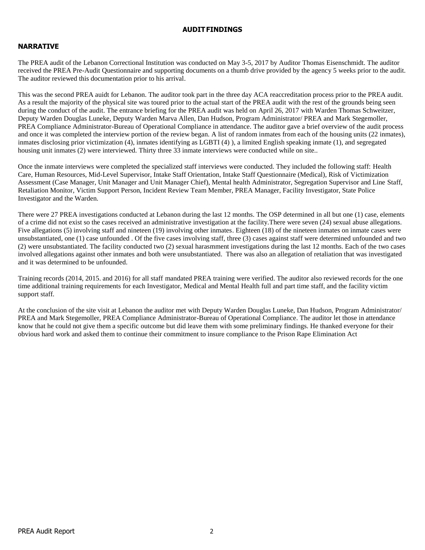# **AUDITFINDINGS**

# **NARRATIVE**

The PREA audit of the Lebanon Correctional Institution was conducted on May 3-5, 2017 by Auditor Thomas Eisenschmidt. The auditor received the PREA Pre-Audit Questionnaire and supporting documents on a thumb drive provided by the agency 5 weeks prior to the audit. The auditor reviewed this documentation prior to his arrival.

This was the second PREA auidt for Lebanon. The auditor took part in the three day ACA reaccreditation process prior to the PREA audit. As a result the majority of the physical site was toured prior to the actual start of the PREA audit with the rest of the grounds being seen during the conduct of the audit. The entrance briefing for the PREA audit was held on April 26, 2017 with Warden Thomas Schweitzer, Deputy Warden Douglas Luneke, Deputy Warden Marva Allen, Dan Hudson, Program Administrator/ PREA and Mark Stegemoller, PREA Compliance Administrator-Bureau of Operational Compliance in attendance. The auditor gave a brief overview of the audit process and once it was completed the interview portion of the review began. A list of random inmates from each of the housing units (22 inmates), inmates disclosing prior victimization (4), inmates identifying as LGBTI (4) ), a limited English speaking inmate (1), and segregated housing unit inmates (2) were interviewed. Thirty three 33 inmate interviews were conducted while on site..

Once the inmate interviews were completed the specialized staff interviews were conducted. They included the following staff: Health Care, Human Resources, Mid-Level Supervisor, Intake Staff Orientation, Intake Staff Questionnaire (Medical), Risk of Victimization Assessment (Case Manager, Unit Manager and Unit Manager Chief), Mental health Administrator, Segregation Supervisor and Line Staff, Retaliation Monitor, Victim Support Person, Incident Review Team Member, PREA Manager, Facility Investigator, State Police Investigator and the Warden.

There were 27 PREA investigations conducted at Lebanon during the last 12 months. The OSP determined in all but one (1) case, elements of a crime did not exist so the cases received an administrative investigation at the facility.There were seven (24) sexual abuse allegations. Five allegations (5) involving staff and nineteen (19) involving other inmates. Eighteen (18) of the nineteen inmates on inmate cases were unsubstantiated, one (1) case unfounded . Of the five cases involving staff, three (3) cases against staff were determined unfounded and two (2) were unsubstantiated. The facility conducted two (2) sexual harasmment investigations during the last 12 months. Each of the two cases involved allegations against other inmates and both were unsubstantiated. There was also an allegation of retaliation that was investigated and it was determined to be unfounded.

Training records (2014, 2015. and 2016) for all staff mandated PREA training were verified. The auditor also reviewed records for the one time additional training requirements for each Investigator, Medical and Mental Health full and part time staff, and the facility victim support staff.

At the conclusion of the site visit at Lebanon the auditor met with Deputy Warden Douglas Luneke, Dan Hudson, Program Administrator/ PREA and Mark Stegemoller, PREA Compliance Administrator-Bureau of Operational Compliance. The auditor let those in attendance know that he could not give them a specific outcome but did leave them with some preliminary findings. He thanked everyone for their obvious hard work and asked them to continue their commitment to insure compliance to the Prison Rape Elimination Act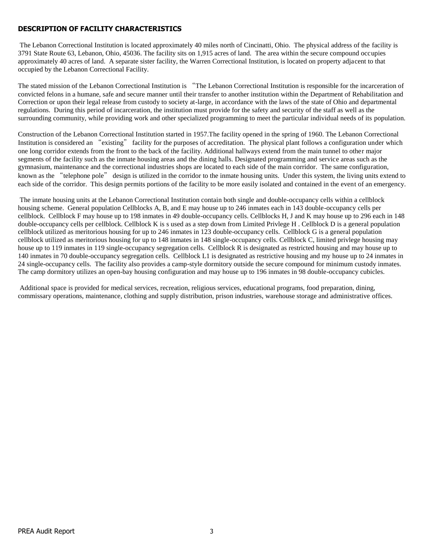# **DESCRIPTION OF FACILITY CHARACTERISTICS**

The Lebanon Correctional Institution is located approximately 40 miles north of Cincinatti, Ohio. The physical address of the facility is 3791 State Route 63, Lebanon, Ohio, 45036. The facility sits on 1,915 acres of land. The area within the secure compound occupies approximately 40 acres of land. A separate sister facility, the Warren Correctional Institution, is located on property adjacent to that occupied by the Lebanon Correctional Facility.

The stated mission of the Lebanon Correctional Institution is "The Lebanon Correctional Institution is responsible for the incarceration of convicted felons in a humane, safe and secure manner until their transfer to another institution within the Department of Rehabilitation and Correction or upon their legal release from custody to society at-large, in accordance with the laws of the state of Ohio and departmental regulations. During this period of incarceration, the institution must provide for the safety and security of the staff as well as the surrounding community, while providing work and other specialized programming to meet the particular individual needs of its population.

Construction of the Lebanon Correctional Institution started in 1957.The facility opened in the spring of 1960. The Lebanon Correctional Institution is considered an "existing" facility for the purposes of accreditation. The physical plant follows a configuration under which one long corridor extends from the front to the back of the facility. Additional hallways extend from the main tunnel to other major segments of the facility such as the inmate housing areas and the dining halls. Designated programming and service areas such as the gymnasium, maintenance and the correctional industries shops are located to each side of the main corridor. The same configuration, known as the "telephone pole" design is utilized in the corridor to the inmate housing units. Under this system, the living units extend to each side of the corridor. This design permits portions of the facility to be more easily isolated and contained in the event of an emergency.

The inmate housing units at the Lebanon Correctional Institution contain both single and double-occupancy cells within a cellblock housing scheme. General population Cellblocks A, B, and E may house up to 246 inmates each in 143 double-occupancy cells per cellblock. Cellblock F may house up to 198 inmates in 49 double-occupancy cells. Cellblocks H, J and K may house up to 296 each in 148 double-occupancy cells per cellblock. Cellblock K is s used as a step down from Limited Privlege H . Cellblock D is a general population cellblock utilized as meritorious housing for up to 246 inmates in 123 double-occupancy cells. Cellblock G is a general population cellblock utilized as meritorious housing for up to 148 inmates in 148 single-occupancy cells. Cellblock C, limited privlege housing may house up to 119 inmates in 119 single-occupancy segregation cells. Cellblock R is designated as restricted housing and may house up to 140 inmates in 70 double-occupancy segregation cells. Cellblock L1 is designated as restrictive housing and my house up to 24 inmates in 24 single-occupancy cells. The facility also provides a camp-style dormitory outside the secure compound for minimum custody inmates. The camp dormitory utilizes an open-bay housing configuration and may house up to 196 inmates in 98 double-occupancy cubicles.

Additional space is provided for medical services, recreation, religious services, educational programs, food preparation, dining, commissary operations, maintenance, clothing and supply distribution, prison industries, warehouse storage and administrative offices.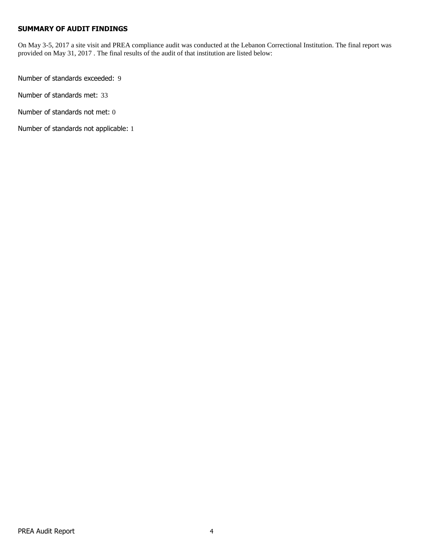# **SUMMARY OF AUDIT FINDINGS**

On May 3-5, 2017 a site visit and PREA compliance audit was conducted at the Lebanon Correctional Institution. The final report was provided on May 31, 2017 . The final results of the audit of that institution are listed below:

Number of standards exceeded: 9

Number of standards met: 33

Number of standards not met: 0

Number of standards not applicable: 1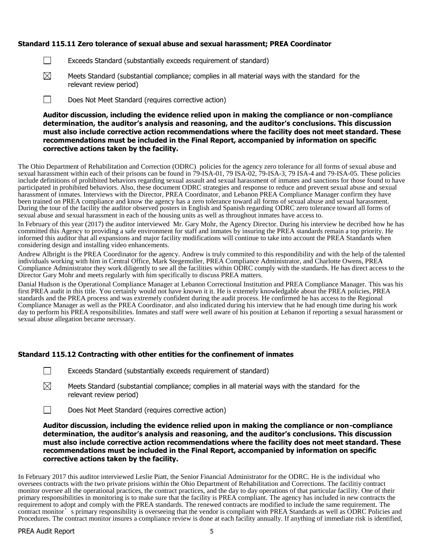# **Standard 115.11 Zero tolerance of sexual abuse and sexual harassment; PREA Coordinator**

- $\Box$ Exceeds Standard (substantially exceeds requirement of standard)
- $\boxtimes$ Meets Standard (substantial compliance; complies in all material ways with the standard for the relevant review period)
- $\Box$ Does Not Meet Standard (requires corrective action)

**Auditor discussion, including the evidence relied upon in making the compliance or non-compliance determination, the auditor's analysis and reasoning, and the auditor's conclusions. This discussion must also include corrective action recommendations where the facility does not meet standard. These recommendations must be included in the Final Report, accompanied by information on specific corrective actions taken by the facility.**

The Ohio Department of Rehabilitation and Correction (ODRC) policies for the agency zero tolerance for all forms of sexual abuse and sexual harassment within each of their prisons can be found in 79-ISA-01, 79 ISA-02, 79-ISA-3, 79 ISA-4 and 79-ISA-05. These policies include definitions of prohibited behaviors regarding sexual assault and sexual harassment of inmates and sanctions for those found to have participated in prohibited behaviors. Also, these document ODRC strategies and response to reduce and prevent sexual abuse and sexual harassment of inmates. Interviews with the Director, PREA Coordinator, and Lebanon PREA Compliance Manager confirm they have been trained on PREA compliance and know the agency has a zero tolerance toward all forms of sexual abuse and sexual harassment. During the tour of the facility the auditor observed posters in English and Spanish regarding ODRC zero tolerance toward all forms of sexual abuse and sexual harassment in each of the housing units as well as throughout inmates have access to.

In February of this year (2017) the auditor interviewed Mr. Gary Mohr, the Agency Director. During his interview he decribed how he has committed this Agency to providing a safe environment for staff and inmates by insuring the PREA standards remain a top priority. He informed this auditor that all expansions and major facility modifications will continue to take into account the PREA Standards when considering design and installing video enhancements.

Andrew Albright is the PREA Coordinator for the agency. Andrew is truly commited to this respondibility and with the help of the talented individuals working with him in Central Office, Mark Stegemoller, PREA Compliance Administrator, and Charlotte Owens, PREA Compliance Administrator they work diligently to see all the facilities within ODRC comply with the standards. He has direct access to the Director Gary Mohr and meets regularly with him specifically to discuss PREA matters.

Danial Hudson is the Operational Compliance Manager at Lebanon Correctional Institution and PREA Compliance Manager. This was his first PREA audit in this title. You certainly would not have known it it. He is extemely knowledgable about the PREA policies, PREA standards and the PREA process and was extremely confident during the audit process. He confirmed he has access to the Regional Compliance Manager as well as the PREA Coordinator. and also indicated during his interview that he had enough time during his work day to perform his PREA responsibilities. Inmates and staff were well aware of his position at Lebanon if reporting a sexual harassment or sexual abuse allegation became necessary.

#### **Standard 115.12 Contracting with other entities for the confinement of inmates**

- $\Box$ Exceeds Standard (substantially exceeds requirement of standard)
- $\boxtimes$ Meets Standard (substantial compliance; complies in all material ways with the standard for the relevant review period)
- $\Box$ Does Not Meet Standard (requires corrective action)

**Auditor discussion, including the evidence relied upon in making the compliance or non-compliance determination, the auditor's analysis and reasoning, and the auditor's conclusions. This discussion must also include corrective action recommendations where the facility does not meet standard. These recommendations must be included in the Final Report, accompanied by information on specific corrective actions taken by the facility.**

In February 2017 this auditor interviewed Leslie Piatt, the Senior Financial Administrator for the ODRC. He is the individual who oversees contracts with the two private prisions within the Ohio Department of Rehabilitation and Corrections. The facilitiy contract monitor oversee all the operational practices, the contract practices, and the day to day operations of that particular facility. One of their primary responsibilities in monitoring is to make sure that the facility is PREA compliant. The agency has included in new contracts the requirement to adopt and comply with the PREA standards. The renewed contracts are modified to include the same requirement. The contract monitor's primary responsibility is overseeing that the vendor is compliant with PREA Standards as well as ODRC Policies and Procedures. The contract monitor insures a compliance review is done at each facility annually. If anything of immediate risk is identified,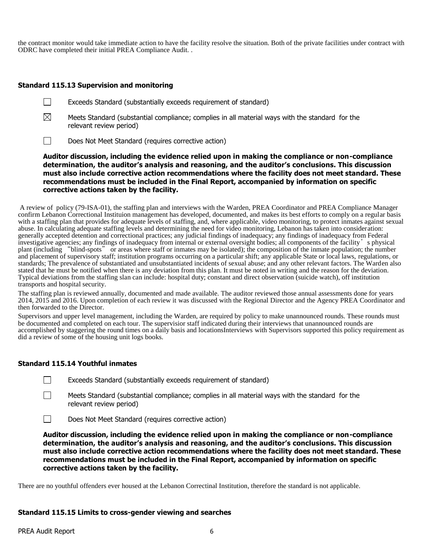the contract monitor would take immediate action to have the facility resolve the situation. Both of the private facilities under contract with ODRC have completed their initial PREA Compliance Audit. .

#### **Standard 115.13 Supervision and monitoring**

| Exceeds Standard (substantially exceeds requirement of standard) |  |  |  |  |
|------------------------------------------------------------------|--|--|--|--|
|------------------------------------------------------------------|--|--|--|--|

 $\boxtimes$ Meets Standard (substantial compliance; complies in all material ways with the standard for the relevant review period)

 $\Box$ Does Not Meet Standard (requires corrective action)

**Auditor discussion, including the evidence relied upon in making the compliance or non-compliance determination, the auditor's analysis and reasoning, and the auditor's conclusions. This discussion must also include corrective action recommendations where the facility does not meet standard. These recommendations must be included in the Final Report, accompanied by information on specific corrective actions taken by the facility.**

A review of policy (79-ISA-01), the staffing plan and interviews with the Warden, PREA Coordinator and PREA Compliance Manager confirm Lebanon Correctional Instituion management has developed, documented, and makes its best efforts to comply on a regular basis with a staffing plan that provides for adequate levels of staffing, and, where applicable, video monitoring, to protect inmates against sexual abuse. In calculating adequate staffing levels and determining the need for video monitoring, Lebanon has taken into consideration: generally accepted detention and correctional practices; any judicial findings of inadequacy; any findings of inadequacy from Federal investigative agencies; any findings of inadequacy from internal or external oversight bodies; all components of the facility's physical plant (including "blind-spots" or areas where staff or inmates may be isolated); the composition of the inmate population; the number and placement of supervisory staff; institution programs occurring on a particular shift; any applicable State or local laws, regulations, or standards; The prevalence of substantiated and unsubstantiated incidents of sexual abuse; and any other relevant factors. The Warden also stated that he must be notified when there is any deviation from this plan. It must be noted in writing and the reason for the deviation. Typical deviations from the staffing slan can include: hospital duty; constant and direct observation (suicide watch), off institution transports and hospital security.

The staffing plan is reviewed annually, documented and made available. The auditor reviewed those annual assessments done for years 2014, 2015 and 2016. Upon completion of each review it was discussed with the Regional Director and the Agency PREA Coordinator and then forwarded to the Director.

Supervisors and upper level management, including the Warden, are required by policy to make unannounced rounds. These rounds must be documented and completed on each tour. The supervisior staff indicated during their interviews that unannounced rounds are accomplished by staggering the round times on a daily basis and locationsInterviews with Supervisors supported this policy requirement as did a review of some of the housing unit logs books.

#### **Standard 115.14 Youthful inmates**

| Exceeds Standard (substantially exceeds requirement of standard) |  |  |  |  |
|------------------------------------------------------------------|--|--|--|--|
|------------------------------------------------------------------|--|--|--|--|

Meets Standard (substantial compliance; complies in all material ways with the standard for the relevant review period)

 $\Box$ Does Not Meet Standard (requires corrective action)

**Auditor discussion, including the evidence relied upon in making the compliance or non-compliance determination, the auditor's analysis and reasoning, and the auditor's conclusions. This discussion must also include corrective action recommendations where the facility does not meet standard. These recommendations must be included in the Final Report, accompanied by information on specific corrective actions taken by the facility.**

There are no youthful offenders ever housed at the Lebanon Correctinal Institution, therefore the standard is not applicable.

#### **Standard 115.15 Limits to cross-gender viewing and searches**

 $\perp$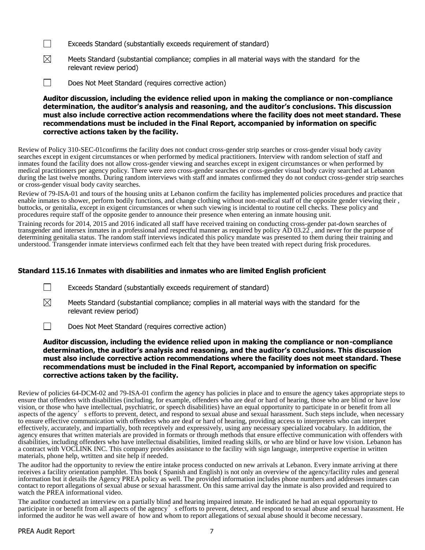- $\Box$ Exceeds Standard (substantially exceeds requirement of standard)
- $\boxtimes$ Meets Standard (substantial compliance; complies in all material ways with the standard for the relevant review period)
- $\Box$ Does Not Meet Standard (requires corrective action)

**Auditor discussion, including the evidence relied upon in making the compliance or non-compliance determination, the auditor's analysis and reasoning, and the auditor's conclusions. This discussion must also include corrective action recommendations where the facility does not meet standard. These recommendations must be included in the Final Report, accompanied by information on specific corrective actions taken by the facility.**

Review of Policy 310-SEC-01confirms the facility does not conduct cross-gender strip searches or cross-gender visual body cavity searches except in exigent circumstances or when performed by medical practitioners. Interview with random selection of staff and inmates found the facility does not allow cross-gender viewing and searches except in exigent circumstances or when performed by medical practitioners per agency policy. There were zero cross-gender searches or cross-gender visual body cavity searched at Lebanon during the last twelve months. During random interviews with staff and inmates confirmed they do not conduct cross-gender strip searches or cross-gender visual body cavity searches.

Review of 79-ISA-01 and tours of the housing units at Lebanon confirm the facility has implemented policies procedures and practice that enable inmates to shower, perform bodily functions, and change clothing without non-medical staff of the opposite gender viewing their , buttocks, or genitalia, except in exigent circumstances or when such viewing is incidental to routine cell checks. These policy and procedures require staff of the opposite gender to announce their presence when entering an inmate housing unit.

Training records for 2014, 2015 and 2016 indicated all staff have received training on conducting cross-gender pat-down searches of transgender and intersex inmates in a professional and respectful manner as required by policy  $\overrightarrow{AD}$  03.22, and never for the purpose of determining genitalia status. The random staff interviews indicated this policy mandate was presented to them during their training and understood. Transgender inmate interviews confirmed each felt that they have been treated with repect during frisk procedures.

# **Standard 115.16 Inmates with disabilities and inmates who are limited English proficient**

| Exceeds Standard (substantially exceeds requirement of standard) |  |  |  |  |
|------------------------------------------------------------------|--|--|--|--|
|------------------------------------------------------------------|--|--|--|--|

 $\boxtimes$ Meets Standard (substantial compliance; complies in all material ways with the standard for the relevant review period)

 $\Box$ Does Not Meet Standard (requires corrective action)

# **Auditor discussion, including the evidence relied upon in making the compliance or non-compliance determination, the auditor's analysis and reasoning, and the auditor's conclusions. This discussion must also include corrective action recommendations where the facility does not meet standard. These recommendations must be included in the Final Report, accompanied by information on specific corrective actions taken by the facility.**

Review of policies 64-DCM-02 and 79-ISA-01 confirm the agency has policies in place and to ensure the agency takes appropriate steps to ensure that offenders with disabilities (including, for example, offenders who are deaf or hard of hearing, those who are blind or have low vision, or those who have intellectual, psychiatric, or speech disabilities) have an equal opportunity to participate in or benefit from all aspects of the agency's efforts to prevent, detect, and respond to sexual abuse and sexual harassment. Such steps include, when necessary to ensure effective communication with offenders who are deaf or hard of hearing, providing access to interpreters who can interpret effectively, accurately, and impartially, both receptively and expressively, using any necessary specialized vocabulary. In addition, the agency ensures that written materials are provided in formats or through methods that ensure effective communication with offenders with disabilities, including offenders who have intellectual disabilities, limited reading skills, or who are blind or have low vision. Lebanon has a contract with VOCLINK INC. This company provides assistance to the facility with sign language, interpretive expertise in written materials, phone help, wrtitten and site help if needed.

The auditor had the opportunity to review the entire intake process conducted on new arrivals at Lebanon. Every inmate arriving at there receives a facility orientation pamphlet. This book ( Spanish and English) is not only an overview of the agency/facility rules and general information but it details the Agency PREA policy as well. The provided information includes phone numbers and addresses inmates can contact to report allegations of sexual abuse or sexual harassment. On this same arrival day the inmate is also provided and required to watch the PREA informational video.

The auditor conducted an interview on a partially blind and hearing impaired inmate. He indicated he had an equal opportunity to participate in or benefit from all aspects of the agency's efforts to prevent, detect, and respond to sexual abuse and sexual harassment. He informed the auditor he was well aware of how and whom to report allegations of sexual abuse should it become necessary.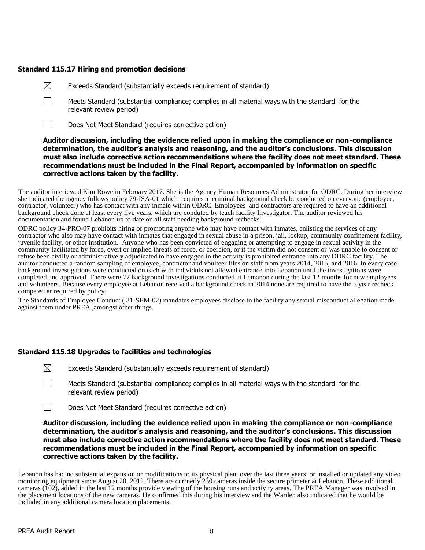# **Standard 115.17 Hiring and promotion decisions**

- $\boxtimes$ Exceeds Standard (substantially exceeds requirement of standard)
- $\Box$ Meets Standard (substantial compliance; complies in all material ways with the standard for the relevant review period)
- $\Box$ Does Not Meet Standard (requires corrective action)

# **Auditor discussion, including the evidence relied upon in making the compliance or non-compliance determination, the auditor's analysis and reasoning, and the auditor's conclusions. This discussion must also include corrective action recommendations where the facility does not meet standard. These recommendations must be included in the Final Report, accompanied by information on specific corrective actions taken by the facility.**

The auditor interiewed Kim Rowe in February 2017. She is the Agency Human Resources Administrator for ODRC. During her interview she indicated the agency follows policy 79-ISA-01 which requires a criminal background check be conducted on everyone (employee, contractor, volunteer) who has contact with any inmate within ODRC. Employees and contractors are required to have an additional background check done at least every five years. which are conduted by teach facility Investigator. The auditor reviewed his documentation and found Lebanon up to date on all staff needing background rechecks.

ODRC policy 34-PRO-07 prohibits hiring or promoting anyone who may have contact with inmates, enlisting the services of any contractor who also may have contact with inmates that engaged in sexual abuse in a prison, jail, lockup, community confinement facility, juvenile facility, or other institution. Anyone who has been convicted of engaging or attempting to engage in sexual activity in the community facilitated by force, overt or implied threats of force, or coercion, or if the victim did not consent or was unable to consent or refuse been civilly or administratively adjudicated to have engaged in the activity is prohibited entrance into any ODRC facility. The auditor conducted a random sampling of employee, contractor and voulteer files on staff from years 2014, 2015, and 2016. In every case background investigations were conducted on each with individuls not allowed entrance into Lebanon until the investigations were completed and approved. There were 77 background investigations conducted at Lemanon during the last 12 months for new employees and volunteers. Because every employee at Lebanon received a background check in 2014 none are required to have the 5 year recheck competed ar required by policy.

The Standards of Employee Conduct ( 31-SEM-02) mandates employees disclose to the facility any sexual misconduct allegation made against them under PREA ,amongst other things.

# **Standard 115.18 Upgrades to facilities and technologies**

- $\boxtimes$ Exceeds Standard (substantially exceeds requirement of standard)
- $\Box$ Meets Standard (substantial compliance; complies in all material ways with the standard for the relevant review period)
- $\Box$ Does Not Meet Standard (requires corrective action)

# **Auditor discussion, including the evidence relied upon in making the compliance or non-compliance determination, the auditor's analysis and reasoning, and the auditor's conclusions. This discussion must also include corrective action recommendations where the facility does not meet standard. These recommendations must be included in the Final Report, accompanied by information on specific corrective actions taken by the facility.**

Lebanon has had no substantial expansion or modifications to its physical plant over the last three years. or installed or updated any video monitoring equipment since August 20, 2012. There are currnetly 230 cameras inside the secure primeter at Lebanon. These additional cameras (102), added in the last 12 months provide viewing of the housing runs and activity areas. The PREA Manager was involved in the placement locations of the new cameras. He confirmed this during his interview and the Warden also indicated that he would be included in any additional camera location placements.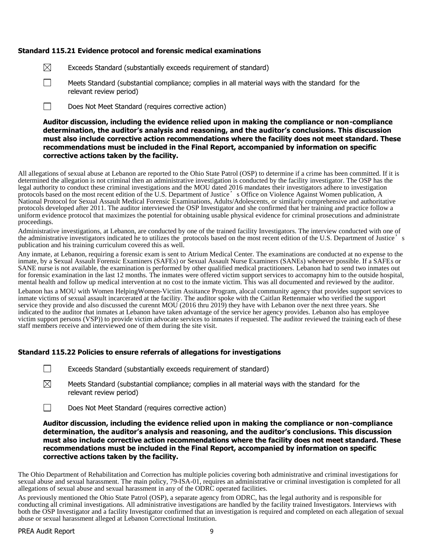#### **Standard 115.21 Evidence protocol and forensic medical examinations**

| ⊠ | Exceeds Standard (substantially exceeds requirement of standard) |
|---|------------------------------------------------------------------|
|---|------------------------------------------------------------------|

 $\Box$ 

Meets Standard (substantial compliance; complies in all material ways with the standard for the relevant review period)

Does Not Meet Standard (requires corrective action)  $\Box$ 

# **Auditor discussion, including the evidence relied upon in making the compliance or non-compliance determination, the auditor's analysis and reasoning, and the auditor's conclusions. This discussion must also include corrective action recommendations where the facility does not meet standard. These recommendations must be included in the Final Report, accompanied by information on specific corrective actions taken by the facility.**

All allegations of sexual abuse at Lebanon are reported to the Ohio State Patrol (OSP) to determine if a crime has been committed. If it is determined the allegation is not criminal then an administrative investigation is conducted by the facility investigator. The OSP has the legal authority to conduct these criminal investigations and the MOU dated 2016 mandates their investigators adhere to investigation protocols based on the most recent edition of the U.S. Department of Justice's Office on Violence Against Women publication, A National Protocol for Sexual Assault Medical Forensic Examinations, Adults/Adolescents, or similarly comprehensive and authoritative protocols developed after 2011. The auditor interviewed the OSP Investigator and she confirmed that her training and practice follow a uniform evidence protocol that maximizes the potential for obtaining usable physical evidence for criminal prosecutions and administrate proceedings.

Administrative investigations, at Lebanon, are conducted by one of the trained facility Investigators. The interview conducted with one of the administrative investigators indicated he to utilizes the protocols based on the most recent edition of the U.S. Department of Justice's publication and his training curriculum covered this as well.

Any inmate, at Lebanon, requiring a forensic exam is sent to Atrium Medical Center. The examinations are conducted at no expense to the inmate, by a Sexual Assault Forensic Examiners (SAFEs) or Sexual Assault Nurse Examiners (SANEs) whenever possible. If a SAFEs or SANE nurse is not available, the examination is performed by other qualified medical practitioners. Lebanon had to send two inmates out for forensic examination in the last 12 months. The inmates were offered victim support services to accomapny him to the outside hospital, mental health and follow up medical intervention at no cost to the inmate victim. This was all documented and reviewed by the auditor.

Lebanon has a MOU with Women HelpingWomen-Victim Assitance Program, alocal community agency that provides support services to inmate victims of sexual assault incarcerated at the facility. The auditor spoke with the Caitlan Rettenmaier who verified the support service they provide and also discussed the curennt MOU (2016 thru 2019) they have with Lebanon over the next three years. She indicated to the auditor that inmates at Lebanon have taken advantage of the service her agency provides. Lebanon also has employee victim support persons (VSP)) to provide victim advocate services to inmates if requested. The auditor reviewed the training each of these staff members receive and interviewed one of them during the site visit.

#### **Standard 115.22 Policies to ensure referrals of allegations for investigations**

- $\perp$ Exceeds Standard (substantially exceeds requirement of standard)
- ⊠ Meets Standard (substantial compliance; complies in all material ways with the standard for the relevant review period)
- $\Box$ Does Not Meet Standard (requires corrective action)

# **Auditor discussion, including the evidence relied upon in making the compliance or non-compliance determination, the auditor's analysis and reasoning, and the auditor's conclusions. This discussion must also include corrective action recommendations where the facility does not meet standard. These recommendations must be included in the Final Report, accompanied by information on specific corrective actions taken by the facility.**

The Ohio Department of Rehabilitation and Correction has multiple policies covering both administrative and criminal investigations for sexual abuse and sexual harassment. The main policy, 79-ISA-01, requires an administrative or criminal investigation is completed for all allegations of sexual abuse and sexual harassment in any of the ODRC operated facilities.

As previously mentioned the Ohio State Patrol (OSP), a separate agency from ODRC, has the legal authority and is responsible for conducting all criminal investigations. All administrative investigations are handled by the facility trained Investigators. Interviews with both the OSP Investigator and a facility Investigator confirmed that an investigation is required and completed on each allegation of sexual abuse or sexual harassment alleged at Lebanon Correctional Institution.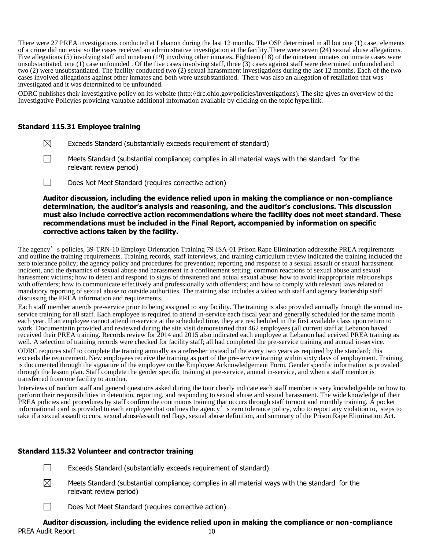There were 27 PREA investigations conducted at Lebanon during the last 12 months. The OSP determined in all but one (1) case, elements of a crime did not exist so the cases received an administrative investigation at the facility.There were seven (24) sexual abuse allegations. Five allegations (5) involving staff and nineteen (19) involving other inmates. Eighteen (18) of the nineteen inmates on inmate cases were unsubstantiated, one (1) case unfounded . Of the five cases involving staff, three (3) cases against staff were determined unfounded and two (2) were unsubstantiated. The facility conducted two (2) sexual harasmment investigations during the last 12 months. Each of the two cases involved allegations against other inmates and both were unsubstantiated. There was also an allegation of retaliation that was investigated and it was determined to be unfounded.

ODRC publishes their investigative policy on its website (http://drc.ohio.gov/policies/investigations). The site gives an overview of the Investigative Policyies providing valuable additional information available by clicking on the topic hyperlink.

#### **Standard 115.31 Employee training**

- $\boxtimes$ Exceeds Standard (substantially exceeds requirement of standard)
- $\perp$ Meets Standard (substantial compliance; complies in all material ways with the standard for the relevant review period)
- $\Box$ Does Not Meet Standard (requires corrective action)

**Auditor discussion, including the evidence relied upon in making the compliance or non-compliance determination, the auditor's analysis and reasoning, and the auditor's conclusions. This discussion must also include corrective action recommendations where the facility does not meet standard. These recommendations must be included in the Final Report, accompanied by information on specific corrective actions taken by the facility.**

The agency's policies, 39-TRN-10 Employe Orientation Training 79-ISA-01 Prison Rape Elimination addressthe PREA requirements and outline the training requirements. Training records, staff interviews, and training curriculum review indicated the training included the zero tolerance policy; the agency policy and procedures for prevention; reporting and response to a sexual assault or sexual harassment incident, and the dynamics of sexual abuse and harassment in a confinement setting; common reactions of sexual abuse and sexual harassment victims; how to detect and respond to signs of threatened and actual sexual abuse; how to avoid inappropriate relationships with offenders; how to communicate effectively and professionally with offenders; and how to comply with relevant laws related to mandatory reporting of sexual abuse to outside authorities. The training also includes a video with staff and agency leadership staff discussing the PREA information and requirements.

Each staff member attends pre-service prior to being assigned to any facility. The training is also provided annually through the annual inservice training for all staff. Each employee is required to attend in-service each fiscal year and generally scheduled for the same month each year. If an employee cannot attend in-service at the scheduled time, they are rescheduled in the first available class upon return to work. Documentatin provided and reviewed during the site visit demonstarted that 462 employees (all current staff at Lebanon haved received their PREA training. Records review for 2014 and 2015 also indicated each employee at Lebanon had eceived PREA training as well. A selection of training records were checked for facility staff; all had completed the pre-service training and annual in-service.

ODRC requires staff to complete the training annually as a refresher instead of the every two years as required by the standard; this exceeds the requirement. New employees receive the training as part of the pre-service training within sixty days of employment. Training is documented through the signature of the employee on the Employee Acknowledgement Form. Gender specific information is provided through the lesson plan. Staff complete the gender specific training at pre-service, annual in-service, and when a staff member is transferred from one facility to another.

Interviews of random staff and general questions asked during the tour clearly indicate each staff member is very knowledgeable on how to perform their responsibilities in detention, reporting, and responding to sexual abuse and sexual harassment. The wide knowledge of their PREA policies and procedures by staff confirm the continuous training that occurs through staff turnout and monthly training. A pocket informational card is provided to each employee that outlines the agency's zero tolerance policy, who to report any violation to, steps to take if a sexual assault occurs, sexual abuse/assault red flags, sexual abuse definition, and summary of the Prison Rape Elimination Act.

#### **Standard 115.32 Volunteer and contractor training**

П Exceeds Standard (substantially exceeds requirement of standard)

- $\boxtimes$ Meets Standard (substantial compliance; complies in all material ways with the standard for the relevant review period)
	- Does Not Meet Standard (requires corrective action)

# PREA Audit Report 10 **Auditor discussion, including the evidence relied upon in making the compliance or non-compliance**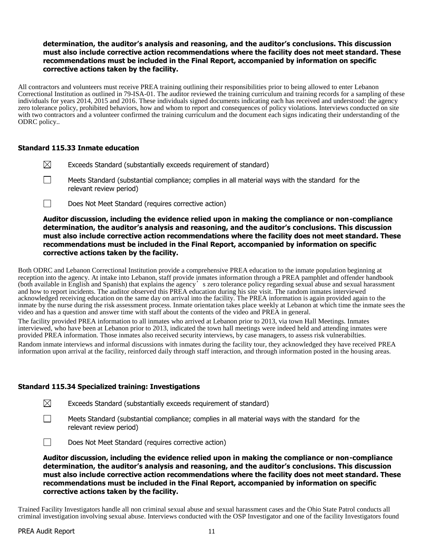# **determination, the auditor's analysis and reasoning, and the auditor's conclusions. This discussion must also include corrective action recommendations where the facility does not meet standard. These recommendations must be included in the Final Report, accompanied by information on specific corrective actions taken by the facility.**

All contractors and volunteers must receive PREA training outlining their responsibilities prior to being allowed to enter Lebanon Correctional Institution as outlined in 79-ISA-01. The auditor reviewed the training curriculum and training records for a sampling of these individuals for years 2014, 2015 and 2016. These individuals signed documents indicating each has received and understood: the agency zero tolerance policy, prohibited behaviors, how and whom to report and consequences of policy violations. Interviews conducted on site with two contractors and a volunteer confirmed the training curriculum and the document each signs indicating their understanding of the ODRC policy..

# **Standard 115.33 Inmate education**

- $\boxtimes$ Exceeds Standard (substantially exceeds requirement of standard)
- $\Box$ Meets Standard (substantial compliance; complies in all material ways with the standard for the relevant review period)
- $\Box$ Does Not Meet Standard (requires corrective action)

**Auditor discussion, including the evidence relied upon in making the compliance or non-compliance determination, the auditor's analysis and reasoning, and the auditor's conclusions. This discussion must also include corrective action recommendations where the facility does not meet standard. These recommendations must be included in the Final Report, accompanied by information on specific corrective actions taken by the facility.**

Both ODRC and Lebanon Correctional Institution provide a comprehensive PREA education to the inmate population beginning at reception into the agency. At intake into Lebanon, staff provide inmates information through a PREA pamphlet and offender handbook (both available in English and Spanish) that explains the agency's zero tolerance policy regarding sexual abuse and sexual harassment and how to report incidents. The auditor observed this PREA education during his site visit. The random inmates interviewed acknowledged receiving education on the same day on arrival into the facility. The PREA information is again provided again to the inmate by the nurse during the risk assessment process. Inmate orientation takes place weekly at Lebanon at which time the inmate sees the video and has a question and answer time with staff about the contents of the video and PREA in general.

The facility provided PREA information to all inmates who arrived at Lebanon prior to 2013, via town Hall Meetings. Inmates interviewed, who have been at Lebanon prior to 2013, indicated the town hall meetings were indeed held and attending inmates were provided PREA information. Those inmates also received security interviews, by case managers, to assess risk vulnerabilties.

Random inmate interviews and informal discussions with inmates during the facility tour, they acknowledged they have received PREA information upon arrival at the facility, reinforced daily through staff interaction, and through information posted in the housing areas.

#### **Standard 115.34 Specialized training: Investigations**

| $\boxtimes$<br>Exceeds Standard (substantially exceeds requirement of standard) |  |  |
|---------------------------------------------------------------------------------|--|--|
|---------------------------------------------------------------------------------|--|--|

П Meets Standard (substantial compliance; complies in all material ways with the standard for the relevant review period)



**Auditor discussion, including the evidence relied upon in making the compliance or non-compliance determination, the auditor's analysis and reasoning, and the auditor's conclusions. This discussion must also include corrective action recommendations where the facility does not meet standard. These recommendations must be included in the Final Report, accompanied by information on specific corrective actions taken by the facility.**

Trained Facility Investigators handle all non criminal sexual abuse and sexual harassment cases and the Ohio State Patrol conducts all criminal investigation involving sexual abuse. Interviews conducted with the OSP Investigator and one of the facility Investigators found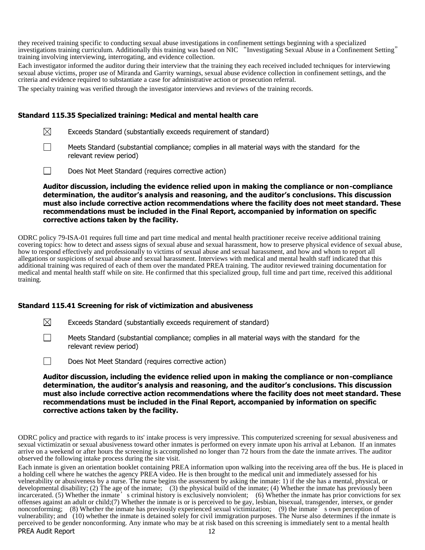they received training specific to conducting sexual abuse investigations in confinement settings beginning with a specialized investigations training curriculum. Additionally this training was based on NIC "Investigating Sexual Abuse in a Confinement Setting" training involving interviewing, interrogating, and evidence collection.

Each investigator informed the auditor during their interview that the training they each received included techniques for interviewing sexual abuse victims, proper use of Miranda and Garrity warnings, sexual abuse evidence collection in confinement settings, and the criteria and evidence required to substantiate a case for administrative action or prosecution referral.

The specialty training was verified through the investigator interviews and reviews of the training records.

# **Standard 115.35 Specialized training: Medical and mental health care**

 $\boxtimes$ Exceeds Standard (substantially exceeds requirement of standard)

- $\Box$ Meets Standard (substantial compliance; complies in all material ways with the standard for the relevant review period)
- $\Box$ Does Not Meet Standard (requires corrective action)

**Auditor discussion, including the evidence relied upon in making the compliance or non-compliance determination, the auditor's analysis and reasoning, and the auditor's conclusions. This discussion must also include corrective action recommendations where the facility does not meet standard. These recommendations must be included in the Final Report, accompanied by information on specific corrective actions taken by the facility.**

ODRC policy 79-ISA-01 requires full time and part time medical and mental health practitioner receive receive additional training covering topics: how to detect and assess signs of sexual abuse and sexual harassment, how to preserve physical evidence of sexual abuse, how to respond effectively and professionally to victims of sexual abuse and sexual harassment, and how and whom to report all allegations or suspicions of sexual abuse and sexual harassment. Interviews with medical and mental health staff indicated that this additional training was required of each of them over the mandated PREA training. The auditor reviewed training documentation for medical and mental health staff while on site. He confirmed that this specialized group, full time and part time, received this additional training.

#### **Standard 115.41 Screening for risk of victimization and abusiveness**

 $\boxtimes$ Exceeds Standard (substantially exceeds requirement of standard)

 $\Box$ Meets Standard (substantial compliance; complies in all material ways with the standard for the relevant review period)

Does Not Meet Standard (requires corrective action)  $\perp$ 

**Auditor discussion, including the evidence relied upon in making the compliance or non-compliance determination, the auditor's analysis and reasoning, and the auditor's conclusions. This discussion must also include corrective action recommendations where the facility does not meet standard. These recommendations must be included in the Final Report, accompanied by information on specific corrective actions taken by the facility.**

ODRC policy and practice with regards to its' intake process is very impressive. This computerized screening for sexual abusiveness and sexual victimizatin or sexual abusiveness toward other inmates is performed on every inmate upon his arrival at Lebanon. If an inmates arrive on a weekend or after hours the screening is accomplished no longer than 72 hours from the date the inmate arrives. The auditor observed the following intake process during the site visit.

PREA Audit Report 12 Each inmate is given an orientation booklet containing PREA information upon walking into the receiving area off the bus. He is placed in a holding cell where he watches the agency PREA video. He is then brought to the medical unit and immediately assessed for his velnerability or abusiveness by a nurse. The nurse begins the assessment by asking the inmate: 1) if the she has a mental, physical, or developmental disability; (2) The age of the inmate; (3) the physical build of the inmate; (4) Whether the inmate has previously been incarcerated. (5) Whether the inmate's criminal history is exclusively nonviolent; (6) Whether the inmate has prior convictions for sex offenses against an adult or child;(7) Whether the inmate is or is perceived to be gay, lesbian, bisexual, transgender, intersex, or gender nonconforming; (8) Whether the inmate has previously experienced sexual victimization; (9) the inmate  $\tilde{t}$  s own perception of vulnerability; and (10) whether the inmate is detained solely for civil immigration purposes. The Nurse also determines if the inmate is perceived to be gender nonconforming. Any inmate who may be at risk based on this screening is immediately sent to a mental health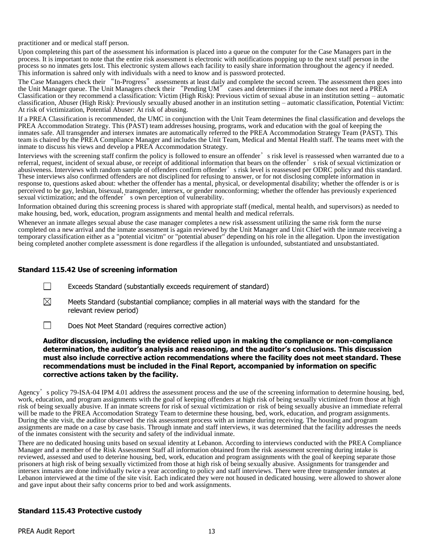practitioner and or medical staff person.

Upon completeing this part of the assessment his information is placed into a queue on the computer for the Case Managers part in the process. It is important to note that the entire risk assessment is electronic with notifications popping up to the next staff person in the process so no inmates gets lost. This electronic system allows each facility to easily share information throughout the agency if needed. This information is sahred only with individuals with a need to know and is password protected.

The Case Managers check their "In-Progress" assessments at least daily and complete the second screen. The assessment then goes into the Unit Manager queue. The Unit Managers check their "Pending UM" cases and determines if the inmate does not need a PREA Classification or they recommend a classification: Victim (High Risk): Previous victim of sexual abuse in an institution setting – automatic classification, Abuser (High Risk): Previously sexually abused another in an institution setting – automatic classification, Potential Victim: At risk of victimization, Potential Abuser: At risk of abusing.

If a PREA Classification is recommended, the UMC in conjunction with the Unit Team determines the final classification and develops the PREA Accommodation Strategy. This (PAST) team addresses housing, programs, work and education with the goal of keeping the inmates safe. All transgender and intersex inmates are automatically referred to the PREA Accommodation Strategy Team (PAST). This team is chaired by the PREA Compliance Manager and includes the Unit Team, Medical and Mental Health staff. The teams meet with the inmate to discuss his views and develop a PREA Accommodation Strategy.

Interviews with the screening staff confirm the policy is followed to ensure an offender's risk level is reassessed when warranted due to a referral, request, incident of sexual abuse, or receipt of additional information that bears on the offender's risk of sexual victimization or abusiveness. Interviews with random sample of offenders confirm offender's risk level is reassessed per ODRC policy and this standard. These interviews also confirmed offenders are not disciplined for refusing to answer, or for not disclosing complete information in response to, questions asked about: whether the offender has a mental, physical, or developmental disability; whether the offender is or is perceived to be gay, lesbian, bisexual, transgender, intersex, or gender nonconforming; whether the offender has previously experienced sexual victimization; and the offender's own perception of vulnerability.

Information obtained during this screening process is shared with appropriate staff (medical, mental health, and supervisors) as needed to make housing, bed, work, education, program assignments and mental health and medical referrals.

Whenever an inmate alleges sexual abuse the case manager completes a new risk assessment utilizing the same risk form the nurse completed on a new arrival and the inmate assessment is again reviewed by the Unit Manager and Unit Chief with the inmate receiveing a temporary classification either as a "potential vicitm" or "potential abuser" depending on his role in the allegation. Upon the investigation being completed another complete assessment is done regardless if the allegation is unfounded, substantiated and unsubstantiated.

# **Standard 115.42 Use of screening information**

- $\Box$ Exceeds Standard (substantially exceeds requirement of standard)
- $\boxtimes$ Meets Standard (substantial compliance; complies in all material ways with the standard for the relevant review period)
- $\Box$ Does Not Meet Standard (requires corrective action)

#### **Auditor discussion, including the evidence relied upon in making the compliance or non-compliance determination, the auditor's analysis and reasoning, and the auditor's conclusions. This discussion must also include corrective action recommendations where the facility does not meet standard. These recommendations must be included in the Final Report, accompanied by information on specific corrective actions taken by the facility.**

Agency's policy 79-ISA-04 IPM 4.01 address the assessment process and the use of the screening information to determine housing, bed, work, education, and program assignments with the goal of keeping offenders at high risk of being sexually victimized from those at high risk of being sexually abusive. If an inmate screens for risk of sexual victimization or risk of being sexually abusive an immediate referral will be made to the PREA Accomodation Strategy Team to determine these housing, bed, work, education, and program assignments. During the site visit, the auditor observed the risk assessment process with an inmate during receiving. The housing and program assignments are made on a case by case basis. Through inmate and staff interviews, it was determined that the facility addresses the needs of the inmates consistent with the security and safety of the individual inmate.

There are no dedicated housing units based on sexual identity at Lebanon. According to interviews conducted with the PREA Compliance Manager and a member of the Risk Assessment Staff all information obtained from the risk assessment screening during intake is reviewed, assessed and used to deterine housing, bed, work, education and program assignments with the goal of keeping separate those prisoners at high risk of being sexually victimized from those at high risk of being sexually abusive. Assignments for transgender and intersex inmates are done individually twice a year according to policy and staff interviews. There were three transgender inmates at Lebanon interviewed at the time of the site visit. Each indicated they were not housed in dedicated housing. were allowed to shower alone and gave input about their safty concerns prior to bed and work assignments.

#### **Standard 115.43 Protective custody**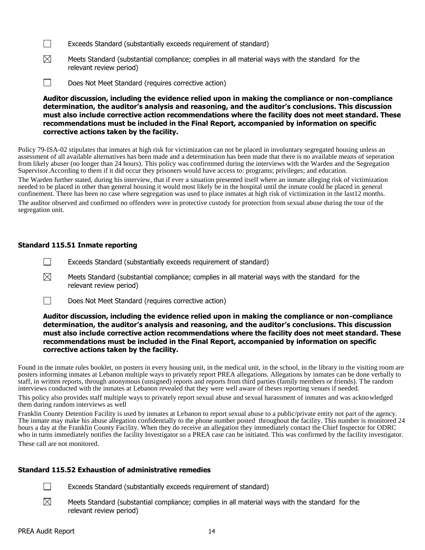- $\Box$ Exceeds Standard (substantially exceeds requirement of standard)
- $\boxtimes$ Meets Standard (substantial compliance; complies in all material ways with the standard for the relevant review period)
- $\Box$ Does Not Meet Standard (requires corrective action)

**Auditor discussion, including the evidence relied upon in making the compliance or non-compliance determination, the auditor's analysis and reasoning, and the auditor's conclusions. This discussion must also include corrective action recommendations where the facility does not meet standard. These recommendations must be included in the Final Report, accompanied by information on specific corrective actions taken by the facility.**

Policy 79-ISA-02 stipulates that inmates at high risk for victimization can not be placed in involuntary segregated housing unless an assessment of all available alternatives has been made and a determination has been made that there is no available means of seperation from likely abuser (no longer than 24 hours). This policy was confirmmed during the interviews with the Warden and the Segregation Supervisor.According to them if it did occur they prisoners would have access to: programs; privileges; and education.

The Warden further stated, during his interview, that if ever a situation presented itself where an inmate alleging risk of victimization needed to be placed in other than general housing it would most likely be in the hospital until the inmate could be placed in general confinement. There has been no case where segregation was used to place inmates at high risk of victimization in the last12 months.

The auditor observed and confirmed no offenders were in protective custody for protection from sexual abuse during the tour of the segregation unit.

# **Standard 115.51 Inmate reporting**

- $\Box$ Exceeds Standard (substantially exceeds requirement of standard)
- ⊠ Meets Standard (substantial compliance; complies in all material ways with the standard for the relevant review period)
- $\Box$ Does Not Meet Standard (requires corrective action)

#### **Auditor discussion, including the evidence relied upon in making the compliance or non-compliance determination, the auditor's analysis and reasoning, and the auditor's conclusions. This discussion must also include corrective action recommendations where the facility does not meet standard. These recommendations must be included in the Final Report, accompanied by information on specific corrective actions taken by the facility.**

Found in the inmate rules booklet, on posters in every housing unit, in the medical unit, in the school, in the library in the visiting room are posters informing inmates at Lebanon multiple ways to privately report PREA allegations. Allegations by inmates can be done verbally to staff, in written reports, through anonymous (unsigned) reports and reports from third parties (family members or friends). The random interviews conducted with the inmates at Lebanon revealed that they were well aware of theses reporting venues if needed.

This policy also provides staff multiple ways to privately report sexual abuse and sexual harassment of inmates and was acknowledged them during random interviews as well

Franklin County Detention Facility is used by inmates at Lebanon to report sexual abuse to a public/private entity not part of the agency. The inmate may make his abuse allegation confidentially to the phone number posted throughout the facility. This number is monitored 24 hours a day at the Franklin County Facility. When they do receive an allegation they immediately contact the Chief Inspector for ODRC who in turns immediately notifies the facility Investigator so a PREA case can be initiated. This was confirmed by the facility investigator. These call are not monitored.

# **Standard 115.52 Exhaustion of administrative remedies**

- $\Box$ Exceeds Standard (substantially exceeds requirement of standard)
- $\boxtimes$ Meets Standard (substantial compliance; complies in all material ways with the standard for the relevant review period)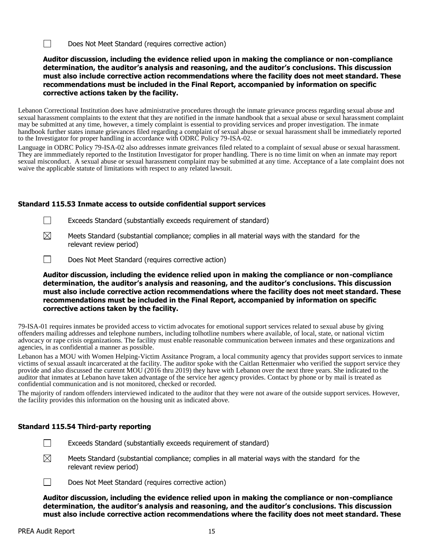$\Box$ Does Not Meet Standard (requires corrective action)

# **Auditor discussion, including the evidence relied upon in making the compliance or non-compliance determination, the auditor's analysis and reasoning, and the auditor's conclusions. This discussion must also include corrective action recommendations where the facility does not meet standard. These recommendations must be included in the Final Report, accompanied by information on specific corrective actions taken by the facility.**

Lebanon Correctional Institution does have administrative procedures through the inmate grievance process regarding sexual abuse and sexual harassment complaints to the extent that they are notified in the inmate handbook that a sexual abuse or sexul harassment complaint may be submitted at any time, however, a timely complaint is essential to providing services and proper investigation. The inmate handbook further states inmate grievances filed regarding a complaint of sexual abuse or sexual harassment shall be immediately reported to the Investigator for proper handling in accordance with ODRC Policy 79-ISA-02.

Language in ODRC Policy 79-ISA-02 also addresses inmate greivances filed related to a complaint of sexual abuse or sexual harassment. They are immmediately reported to the Institution Investigator for proper handling. There is no time limit on when an inmate may report sexual misconduct. A sexual abuse or sexual harassment complaint may be submitted at any time. Acceptance of a late complaint does not waive the applicable statute of limitations with respect to any related lawsuit.

# **Standard 115.53 Inmate access to outside confidential support services**

- $\mathcal{L}$ Exceeds Standard (substantially exceeds requirement of standard)
- $\boxtimes$ Meets Standard (substantial compliance; complies in all material ways with the standard for the relevant review period)
- $\Box$ Does Not Meet Standard (requires corrective action)

# **Auditor discussion, including the evidence relied upon in making the compliance or non-compliance determination, the auditor's analysis and reasoning, and the auditor's conclusions. This discussion must also include corrective action recommendations where the facility does not meet standard. These recommendations must be included in the Final Report, accompanied by information on specific corrective actions taken by the facility.**

79-ISA-01 requires inmates be provided access to victim advocates for emotional support services related to sexual abuse by giving offenders mailing addresses and telephone numbers, including tolhotline numbers where available, of local, state, or national victim advocacy or rape crisis organizations. The facility must enable reasonable communication between inmates and these organizations and agencies, in as confidential a manner as possible.

Lebanon has a MOU with Women Helping-Victim Assitance Program, a local community agency that provides support services to inmate victims of sexual assault incarcerated at the facility. The auditor spoke with the Caitlan Rettenmaier who verified the support service they provide and also discussed the curennt MOU (2016 thru 2019) they have with Lebanon over the next three years. She indicated to the auditor that inmates at Lebanon have taken advantage of the service her agency provides. Contact by phone or by mail is treated as confidential communication and is not monitored, checked or recorded.

The majority of random offenders interviewed indicated to the auditor that they were not aware of the outside support services. However, the facility provides this information on the housing unit as indicated above.

# **Standard 115.54 Third-party reporting**

- $\Box$ Exceeds Standard (substantially exceeds requirement of standard)
- ⊠ Meets Standard (substantial compliance; complies in all material ways with the standard for the relevant review period)
- $\Box$ Does Not Meet Standard (requires corrective action)

**Auditor discussion, including the evidence relied upon in making the compliance or non-compliance determination, the auditor's analysis and reasoning, and the auditor's conclusions. This discussion must also include corrective action recommendations where the facility does not meet standard. These**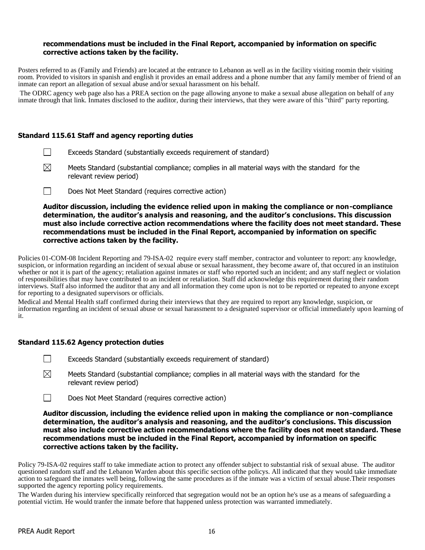#### **recommendations must be included in the Final Report, accompanied by information on specific corrective actions taken by the facility.**

Posters referred to as (Family and Friends) are located at the entrance to Lebanon as well as in the facility visiting roomin their visiting room. Provided to visitors in spanish and english it provides an email address and a phone number that any family member of friend of an inmate can report an allegation of sexual abuse and/or sexual harassment on his behalf.

The ODRC agency web page also has a PREA section on the page allowing anyone to make a sexual abuse allegation on behalf of any inmate through that link. Inmates disclosed to the auditor, during their interviews, that they were aware of this "third" party reporting.

#### **Standard 115.61 Staff and agency reporting duties**

- $\Box$ Exceeds Standard (substantially exceeds requirement of standard)
- $\boxtimes$ Meets Standard (substantial compliance; complies in all material ways with the standard for the relevant review period)
- Does Not Meet Standard (requires corrective action)  $\Box$

**Auditor discussion, including the evidence relied upon in making the compliance or non-compliance determination, the auditor's analysis and reasoning, and the auditor's conclusions. This discussion must also include corrective action recommendations where the facility does not meet standard. These recommendations must be included in the Final Report, accompanied by information on specific corrective actions taken by the facility.**

Policies 01-COM-08 Incident Reporting and 79-ISA-02 require every staff member, contractor and volunteer to report: any knowledge, suspicion, or information regarding an incident of sexual abuse or sexual harassment, they become aware of, that occured in an instituion whether or not it is part of the agency; retaliation against inmates or staff who reported such an incident; and any staff neglect or violation of responsibilities that may have contributed to an incident or retaliation. Staff did acknowledge this requirement during their random interviews. Staff also informed the auditor that any and all information they come upon is not to be reported or repeated to anyone except for reporting to a designated supervisors or officials.

Medical and Mental Health staff confirmed during their interviews that they are required to report any knowledge, suspicion, or information regarding an incident of sexual abuse or sexual harassment to a designated supervisor or official immediately upon learning of it.

# **Standard 115.62 Agency protection duties**

- $\Box$ Exceeds Standard (substantially exceeds requirement of standard)
- $\boxtimes$ Meets Standard (substantial compliance; complies in all material ways with the standard for the relevant review period)
- $\Box$ Does Not Meet Standard (requires corrective action)

**Auditor discussion, including the evidence relied upon in making the compliance or non-compliance determination, the auditor's analysis and reasoning, and the auditor's conclusions. This discussion must also include corrective action recommendations where the facility does not meet standard. These recommendations must be included in the Final Report, accompanied by information on specific corrective actions taken by the facility.**

Policy 79-ISA-02 requires staff to take immediate action to protect any offender subject to substantial risk of sexual abuse. The auditor questioned random staff and the Lebanon Warden about this specific section ofthe policys. All indicated that they would take immediate action to safeguard the inmates well being, following the same procedures as if the inmate was a victim of sexual abuse.Their responses supported the agency reporting policy requirements.

The Warden during his interview specifically reinforced that segregation would not be an option he's use as a means of safeguarding a potential victim. He would tranfer the inmate before that happened unless protection was warranted immediately.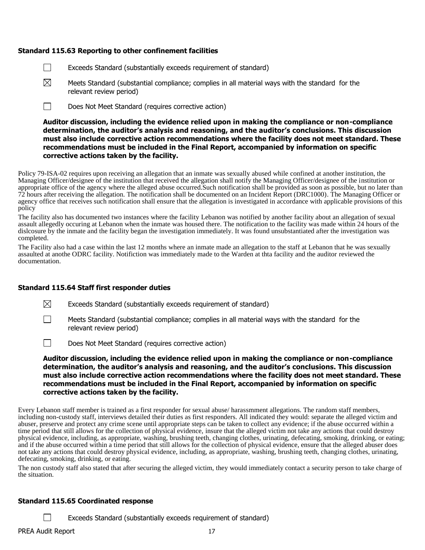# **Standard 115.63 Reporting to other confinement facilities**

- $\Box$ Exceeds Standard (substantially exceeds requirement of standard)
- ⊠ Meets Standard (substantial compliance; complies in all material ways with the standard for the relevant review period)
- П Does Not Meet Standard (requires corrective action)

**Auditor discussion, including the evidence relied upon in making the compliance or non-compliance determination, the auditor's analysis and reasoning, and the auditor's conclusions. This discussion must also include corrective action recommendations where the facility does not meet standard. These recommendations must be included in the Final Report, accompanied by information on specific corrective actions taken by the facility.**

Policy 79-ISA-02 requires upon receiving an allegation that an inmate was sexually abused while confined at another institution, the Managing Officer/designee of the institution that received the allegation shall notify the Managing Officer/designee of the institution or appropriate office of the agency where the alleged abuse occurred.Such notification shall be provided as soon as possible, but no later than 72 hours after receiving the allegation. The notification shall be documented on an Incident Report (DRC1000). The Managing Officer or agency office that receives such notification shall ensure that the allegation is investigated in accordance with applicable provisions of this policy

The facility also has documented two instances where the facility Lebanon was notified by another facility about an allegation of sexual assault allegedly occuring at Lebanon when the inmate was housed there. The notification to the facility was made within 24 hours of the dislcosure by the inmate and the facility began the investigation immediately. It was found unsubstantiated after the investigation was completed.

The Facility also had a case within the last 12 months where an inmate made an allegation to the staff at Lebanon that he was sexually assaulted at anothe ODRC facility. Notifiction was immediately made to the Warden at thta facility and the auditor reviewed the documentation.

#### **Standard 115.64 Staff first responder duties**

- ⊠ Exceeds Standard (substantially exceeds requirement of standard)
- П Meets Standard (substantial compliance; complies in all material ways with the standard for the relevant review period)
- $\Box$ Does Not Meet Standard (requires corrective action)

# **Auditor discussion, including the evidence relied upon in making the compliance or non-compliance determination, the auditor's analysis and reasoning, and the auditor's conclusions. This discussion must also include corrective action recommendations where the facility does not meet standard. These recommendations must be included in the Final Report, accompanied by information on specific corrective actions taken by the facility.**

Every Lebanon staff member is trained as a first responder for sexual abuse/ harassmment allegations. The random staff members, including non-custody staff, interviews detailed their duties as first responders. All indicated they would: separate the alleged victim and abuser, preserve and protect any crime scene until appropriate steps can be taken to collect any evidence; if the abuse occurred within a time period that still allows for the collection of physical evidence, insure that the alleged victim not take any actions that could destroy physical evidence, including, as appropriate, washing, brushing teeth, changing clothes, urinating, defecating, smoking, drinking, or eating; and if the abuse occurred within a time period that still allows for the collection of physical evidence, ensure that the alleged abuser does not take any actions that could destroy physical evidence, including, as appropriate, washing, brushing teeth, changing clothes, urinating, defecating, smoking, drinking, or eating.

The non custody staff also stated that after securing the alleged victim, they would immediately contact a security person to take charge of the situation.

#### **Standard 115.65 Coordinated response**

Exceeds Standard (substantially exceeds requirement of standard)

 $\Box$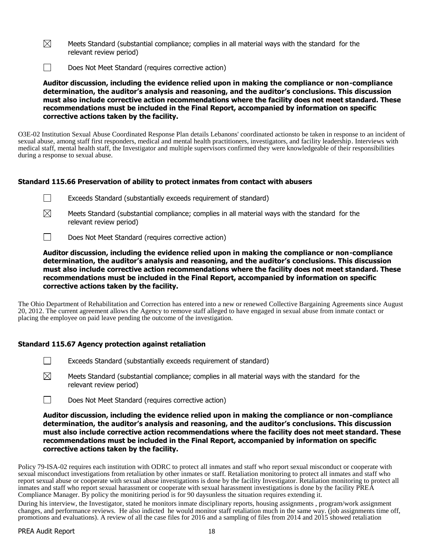- $\boxtimes$ Meets Standard (substantial compliance; complies in all material ways with the standard for the relevant review period)
- $\Box$ Does Not Meet Standard (requires corrective action)

**Auditor discussion, including the evidence relied upon in making the compliance or non-compliance determination, the auditor's analysis and reasoning, and the auditor's conclusions. This discussion must also include corrective action recommendations where the facility does not meet standard. These recommendations must be included in the Final Report, accompanied by information on specific corrective actions taken by the facility.**

O3E-02 Institution Sexual Abuse Coordinated Response Plan details Lebanons' coordinated actionsto be taken in response to an incident of sexual abuse, among staff first responders, medical and mental health practitioners, investigators, and facility leadership. Interviews with medical staff, mental health staff, the Investigator and multiple supervisors confirmed they were knowledgeable of their responsibilities during a response to sexual abuse.

# **Standard 115.66 Preservation of ability to protect inmates from contact with abusers**

| Exceeds Standard (substantially exceeds requirement of standard) |  |  |
|------------------------------------------------------------------|--|--|
|                                                                  |  |  |



- Meets Standard (substantial compliance; complies in all material ways with the standard for the relevant review period)
- $\Box$ Does Not Meet Standard (requires corrective action)

**Auditor discussion, including the evidence relied upon in making the compliance or non-compliance determination, the auditor's analysis and reasoning, and the auditor's conclusions. This discussion must also include corrective action recommendations where the facility does not meet standard. These recommendations must be included in the Final Report, accompanied by information on specific corrective actions taken by the facility.**

The Ohio Department of Rehabilitation and Correction has entered into a new or renewed Collective Bargaining Agreements since August 20, 2012. The current agreement allows the Agency to remove staff alleged to have engaged in sexual abuse from inmate contact or placing the employee on paid leave pending the outcome of the investigation.

# **Standard 115.67 Agency protection against retaliation**

- $\perp$ Exceeds Standard (substantially exceeds requirement of standard)
- $\boxtimes$ Meets Standard (substantial compliance; complies in all material ways with the standard for the relevant review period)
- $\Box$ Does Not Meet Standard (requires corrective action)

**Auditor discussion, including the evidence relied upon in making the compliance or non-compliance determination, the auditor's analysis and reasoning, and the auditor's conclusions. This discussion must also include corrective action recommendations where the facility does not meet standard. These recommendations must be included in the Final Report, accompanied by information on specific corrective actions taken by the facility.**

Policy 79-ISA-02 requires each institution with ODRC to protect all inmates and staff who report sexual misconduct or cooperate with sexual misconduct investigations from retaliation by other inmates or staff. Retaliation monitoring to protect all inmates and staff who report sexual abuse or cooperate with sexual abuse investigations is done by the facility Investigator. Retaliation monitoring to protect all inmates and staff who report sexual harassment or cooperate with sexual harassment investigations is done by the facility PREA Compliance Manager. By policy the monitiring period is for 90 daysunless the situation requires extending it.

During his interview, the Investigator, stated he monitors inmate disciplinary reports, housing assignments , program/work assignment changes, and performance reviews. He also indicted he would monitor staff retaliation much in the same way. (job assignments time off, promotions and evaluations). A review of all the case files for 2016 and a sampling of files from 2014 and 2015 showed retaliation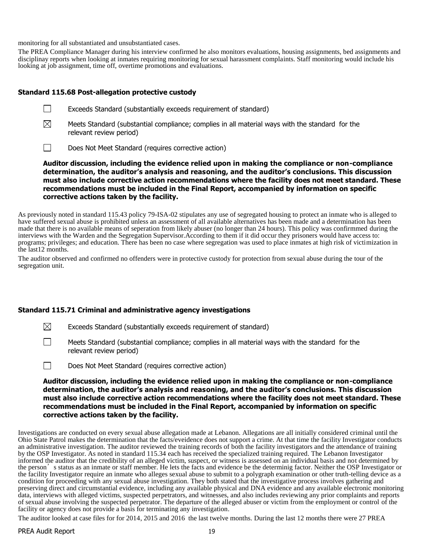monitoring for all substantiated and unsubstantiated cases.

The PREA Compliance Manager during his interview confirmed he also monitors evaluations, housing assignments, bed assignments and disciplinay reports when looking at inmates requiring monitoring for sexual harassment complaints. Staff monitoring would include his looking at job assignment, time off, overtime promotions and evaluations.

#### **Standard 115.68 Post-allegation protective custody**

 $\Box$ 

- $\boxtimes$ Meets Standard (substantial compliance; complies in all material ways with the standard for the relevant review period)
- $\Box$ Does Not Meet Standard (requires corrective action)

**Auditor discussion, including the evidence relied upon in making the compliance or non-compliance determination, the auditor's analysis and reasoning, and the auditor's conclusions. This discussion must also include corrective action recommendations where the facility does not meet standard. These recommendations must be included in the Final Report, accompanied by information on specific corrective actions taken by the facility.**

As previously noted in standard 115.43 policy 79-ISA-02 stipulates any use of segregated housing to protect an inmate who is alleged to have suffered sexual abuse is prohibited unless an assessment of all available alternatives has been made and a determination has been made that there is no available means of seperation from likely abuser (no longer than 24 hours). This policy was confirmmed during the interviews with the Warden and the Segregation Supervisor.According to them if it did occur they prisoners would have access to: programs; privileges; and education. There has been no case where segregation was used to place inmates at high risk of victimization in the last12 months.

The auditor observed and confirmed no offenders were in protective custody for protection from sexual abuse during the tour of the segregation unit.

#### **Standard 115.71 Criminal and administrative agency investigations**

 $\boxtimes$ Exceeds Standard (substantially exceeds requirement of standard)

- $\Box$ Meets Standard (substantial compliance; complies in all material ways with the standard for the relevant review period)
- $\Box$ Does Not Meet Standard (requires corrective action)

**Auditor discussion, including the evidence relied upon in making the compliance or non-compliance determination, the auditor's analysis and reasoning, and the auditor's conclusions. This discussion must also include corrective action recommendations where the facility does not meet standard. These recommendations must be included in the Final Report, accompanied by information on specific corrective actions taken by the facility.**

Investigations are conducted on every sexual abuse allegation made at Lebanon. Allegations are all initially considered criminal until the Ohio State Patrol makes the determination that the facts/eveidence does not support a crime. At that time the facility Investigator conducts an administrative investigation. The auditor reviewed the training records of both the facility investigators and the attendance of training by the OSP Investigator. As noted in standard 115.34 each has received the specialized training required. The Lebanon Investigator informed the auditor that the credibility of an alleged victim, suspect, or witness is assessed on an individual basis and not determined by the person's status as an inmate or staff member. He lets the facts and evidence be the determinig factor. Neither the OSP Investigator or the facility Investigator require an inmate who alleges sexual abuse to submit to a polygraph examination or other truth-telling device as a condition for proceeding with any sexual abuse investigation. They both stated that the investigative process involves gathering and preserving direct and circumstantial evidence, including any available physical and DNA evidence and any available electronic monitoring data, interviews with alleged victims, suspected perpetrators, and witnesses, and also includes reviewing any prior complaints and reports of sexual abuse involving the suspected perpetrator. The departure of the alleged abuser or victim from the employment or control of the facility or agency does not provide a basis for terminating any investigation.

The auditor looked at case files for for 2014, 2015 and 2016 the last twelve months. During the last 12 months there were 27 PREA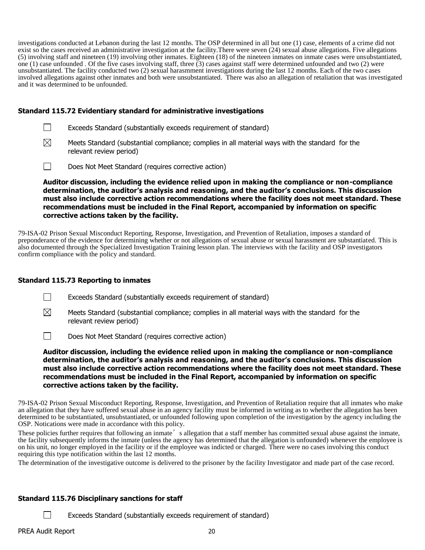investigations conducted at Lebanon during the last 12 months. The OSP determined in all but one (1) case, elements of a crime did not exist so the cases received an administrative investigation at the facility.There were seven (24) sexual abuse allegations. Five allegations (5) involving staff and nineteen (19) involving other inmates. Eighteen (18) of the nineteen inmates on inmate cases were unsubstantiated, one (1) case unfounded . Of the five cases involving staff, three (3) cases against staff were determined unfounded and two (2) were unsubstantiated. The facility conducted two (2) sexual harasmment investigations during the last 12 months. Each of the two cases involved allegations against other inmates and both were unsubstantiated. There was also an allegation of retaliation that was investigated and it was determined to be unfounded.

# **Standard 115.72 Evidentiary standard for administrative investigations**

| Exceeds Standard (substantially exceeds requirement of standard) |  |  |
|------------------------------------------------------------------|--|--|
|                                                                  |  |  |

- $\boxtimes$ Meets Standard (substantial compliance; complies in all material ways with the standard for the relevant review period)
- $\Box$ Does Not Meet Standard (requires corrective action)

**Auditor discussion, including the evidence relied upon in making the compliance or non-compliance determination, the auditor's analysis and reasoning, and the auditor's conclusions. This discussion must also include corrective action recommendations where the facility does not meet standard. These recommendations must be included in the Final Report, accompanied by information on specific corrective actions taken by the facility.**

79-ISA-02 Prison Sexual Misconduct Reporting, Response, Investigation, and Prevention of Retaliation, imposes a standard of preponderance of the evidence for determining whether or not allegations of sexual abuse or sexual harassment are substantiated. This is also documented through the Specialized Investigation Training lesson plan. The interviews with the facility and OSP investigators confirm compliance with the policy and standard.

#### **Standard 115.73 Reporting to inmates**

- $\Box$ Exceeds Standard (substantially exceeds requirement of standard)
- $\boxtimes$ Meets Standard (substantial compliance; complies in all material ways with the standard for the relevant review period)

 $\Box$ Does Not Meet Standard (requires corrective action)

**Auditor discussion, including the evidence relied upon in making the compliance or non-compliance determination, the auditor's analysis and reasoning, and the auditor's conclusions. This discussion must also include corrective action recommendations where the facility does not meet standard. These recommendations must be included in the Final Report, accompanied by information on specific corrective actions taken by the facility.**

79-ISA-02 Prison Sexual Misconduct Reporting, Response, Investigation, and Prevention of Retaliation require that all inmates who make an allegation that they have suffered sexual abuse in an agency facility must be informed in writing as to whether the allegation has been determined to be substantiated, unsubstantiated, or unfounded following upon completion of the investigation by the agency including the OSP. Notications were made in accordance with this policy.

These policies further requires that following an inmate's allegation that a staff member has committed sexual abuse against the inmate, the facility subsequently informs the inmate (unless the agency has determined that the allegation is unfounded) whenever the employee is on his unit, no longer employed in the facility or if the employee was indicted or charged. There were no cases involving this conduct requiring this type notification within the last 12 months.

The determination of the investigative outcome is delivered to the prisoner by the facility Investigator and made part of the case record.

# **Standard 115.76 Disciplinary sanctions for staff**

Exceeds Standard (substantially exceeds requirement of standard)

 $\Box$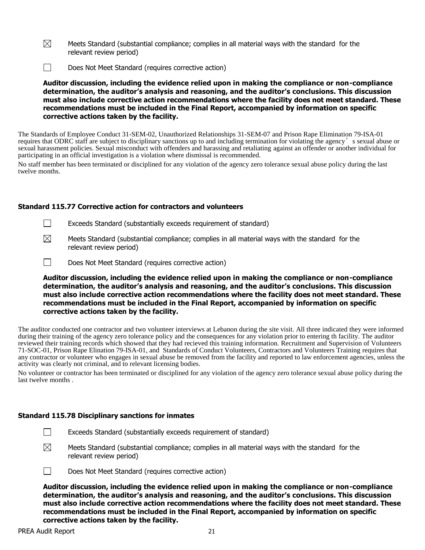- $\boxtimes$ Meets Standard (substantial compliance; complies in all material ways with the standard for the relevant review period)
- $\Box$ Does Not Meet Standard (requires corrective action)

**Auditor discussion, including the evidence relied upon in making the compliance or non-compliance determination, the auditor's analysis and reasoning, and the auditor's conclusions. This discussion must also include corrective action recommendations where the facility does not meet standard. These recommendations must be included in the Final Report, accompanied by information on specific corrective actions taken by the facility.**

The Standards of Employee Conduct 31-SEM-02, Unauthorized Relationships 31-SEM-07 and Prison Rape Elimination 79-ISA-01 requires that ODRC staff are subject to disciplinary sanctions up to and including termination for violating the agency's sexual abuse or sexual harassment policies. Sexual misconduct with offenders and harassing and retaliating against an offender or another individual for participating in an official investigation is a violation where dismissal is recommended.

No staff member has been terminated or disciplined for any violation of the agency zero tolerance sexual abuse policy during the last twelve months.

# **Standard 115.77 Corrective action for contractors and volunteers**

- $\Box$ Exceeds Standard (substantially exceeds requirement of standard)
- $\boxtimes$ Meets Standard (substantial compliance; complies in all material ways with the standard for the relevant review period)
- $\Box$ Does Not Meet Standard (requires corrective action)

**Auditor discussion, including the evidence relied upon in making the compliance or non-compliance determination, the auditor's analysis and reasoning, and the auditor's conclusions. This discussion must also include corrective action recommendations where the facility does not meet standard. These recommendations must be included in the Final Report, accompanied by information on specific corrective actions taken by the facility.**

The auditor conducted one contractor and two volunteer interviews at Lebanon during the site visit. All three indicated they were informed during their training of the agency zero tolerance policy and the consequences for any violation prior to entering th facility. The auditor reviewed their training records which showed that they had recieved this training information. Recruitment and Supervision of Volunteers 71-SOC-01, Prison Rape Elination 79-ISA-01, and Standards of Conduct Volunteers, Contractors and Volunteers Training requires that any contractor or volunteer who engages in sexual abuse be removed from the facility and reported to law enforcement agencies, unless the activity was clearly not criminal, and to relevant licensing bodies.

No volunteer or contractor has been terminated or disciplined for any violation of the agency zero tolerance sexual abuse policy during the last twelve months .

#### **Standard 115.78 Disciplinary sanctions for inmates**

- Exceeds Standard (substantially exceeds requirement of standard)
- $\boxtimes$ Meets Standard (substantial compliance; complies in all material ways with the standard for the relevant review period)



 $\Box$ 

Does Not Meet Standard (requires corrective action)

**Auditor discussion, including the evidence relied upon in making the compliance or non-compliance determination, the auditor's analysis and reasoning, and the auditor's conclusions. This discussion must also include corrective action recommendations where the facility does not meet standard. These recommendations must be included in the Final Report, accompanied by information on specific corrective actions taken by the facility.**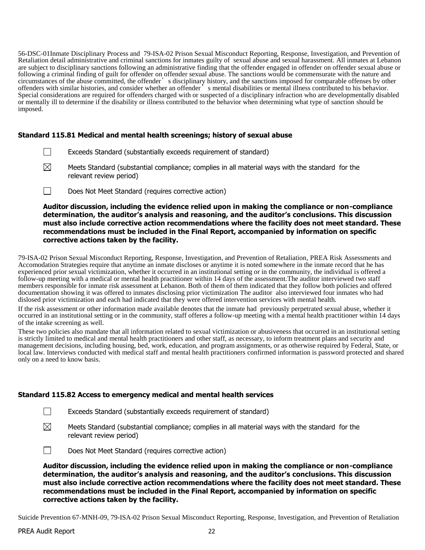56-DSC-01Inmate Disciplinary Process and 79-ISA-02 Prison Sexual Misconduct Reporting, Response, Investigation, and Prevention of Retaliation detail administrative and criminal sanctions for inmates guilty of sexual abuse and sexual harassment. All inmates at Lebanon are subject to disciplinary sanctions following an administrative finding that the offender engaged in offender on offender sexual abuse or following a criminal finding of guilt for offender on offender sexual abuse. The sanctions would be commensurate with the nature and circumstances of the abuse committed, the offender's disciplinary history, and the sanctions imposed for comparable offenses by other offenders with similar histories, and consider whether an offender's mental disabilities or mental illness contributed to his behavior. Special considerations are required for offenders charged with or suspected of a disciplinary infraction who are developmentally disabled or mentally ill to determine if the disability or illness contributed to the behavior when determining what type of sanction should be imposed.

# **Standard 115.81 Medical and mental health screenings; history of sexual abuse**

- $\Box$ Exceeds Standard (substantially exceeds requirement of standard)
- ⊠ Meets Standard (substantial compliance; complies in all material ways with the standard for the relevant review period)
- $\Box$ Does Not Meet Standard (requires corrective action)

**Auditor discussion, including the evidence relied upon in making the compliance or non-compliance determination, the auditor's analysis and reasoning, and the auditor's conclusions. This discussion must also include corrective action recommendations where the facility does not meet standard. These recommendations must be included in the Final Report, accompanied by information on specific corrective actions taken by the facility.**

79-ISA-02 Prison Sexual Misconduct Reporting, Response, Investigation, and Prevention of Retaliation, PREA Risk Assessments and Accomodation Strategies require that anytime an inmate discloses or anytime it is noted somewhere in the inmate record that he has experienced prior sexual victimization, whether it occurred in an institutional setting or in the community, the individual is offered a follow-up meeting with a medical or mental health practitioner within 14 days of the assessment.The auditor interviewed two staff members responsible for inmate risk assessment at Lebanon. Both of them of them indicated that they follow both policies and offered documentation showing it was offered to inmates disclosing prior victimization The auditor also interviewed four inmates who had dislosed prior victimization and each had indicated that they were offered intervention services with mental health.

If the risk assessment or other information made available denotes that the inmate had previously perpetrated sexual abuse, whether it occurred in an institutional setting or in the community, staff offeres a follow-up meeting with a mental health practitioner within 14 days of the intake screening as well.

These two policies also mandate that all information related to sexual victimization or abusiveness that occurred in an institutional setting is strictly limited to medical and mental health practitioners and other staff, as necessary, to inform treatment plans and security and management decisions, including housing, bed, work, education, and program assignments, or as otherwise required by Federal, State, or local law. Interviews conducted with medical staff and mental health practitioners confirmed information is password protected and shared only on a need to know basis.

#### **Standard 115.82 Access to emergency medical and mental health services**

- $\Box$ Exceeds Standard (substantially exceeds requirement of standard)
- $\boxtimes$ Meets Standard (substantial compliance; complies in all material ways with the standard for the relevant review period)

 $\Box$ Does Not Meet Standard (requires corrective action)

**Auditor discussion, including the evidence relied upon in making the compliance or non-compliance determination, the auditor's analysis and reasoning, and the auditor's conclusions. This discussion must also include corrective action recommendations where the facility does not meet standard. These recommendations must be included in the Final Report, accompanied by information on specific corrective actions taken by the facility.**

Suicide Prevention 67-MNH-09, 79-ISA-02 Prison Sexual Misconduct Reporting, Response, Investigation, and Prevention of Retaliation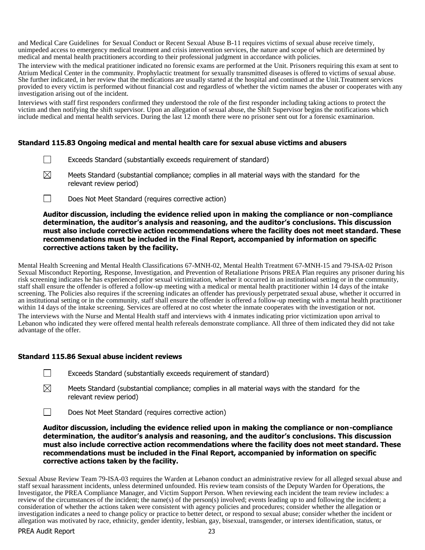and Medical Care Guidelines for Sexual Conduct or Recent Sexual Abuse B-11 requires victims of sexual abuse receive timely, unimpeded access to emergency medical treatment and crisis intervention services, the nature and scope of which are determined by medical and mental health practitioners according to their professional judgment in accordance with policies.

The interview with the medical pratitioner indicated no forensic exams are performed at the Unit. Prisoners requiring this exam at sent to Atrium Medical Center in the community. Prophylactic treatment for sexually transmitted diseases is offered to victims of sexual abuse. She further indicated, in her review that the medications are usually started at the hospital and continued at the Unit.Treatment services provided to every victim is performed without financial cost and regardless of whether the victim names the abuser or cooperates with any investigation arising out of the incident.

Interviews with staff first responders confirmed they understood the role of the first responder including taking actions to protect the victim and then notifying the shift supervisor. Upon an allegation of sexual abuse, the Shift Supervisor begins the notifications which include medical and mental health services. During the last 12 month there were no prisoner sent out for a forensic examinarion.

# **Standard 115.83 Ongoing medical and mental health care for sexual abuse victims and abusers**

- Exceeds Standard (substantially exceeds requirement of standard)
- ⊠ Meets Standard (substantial compliance; complies in all material ways with the standard for the relevant review period)
- П Does Not Meet Standard (requires corrective action)

#### **Auditor discussion, including the evidence relied upon in making the compliance or non-compliance determination, the auditor's analysis and reasoning, and the auditor's conclusions. This discussion must also include corrective action recommendations where the facility does not meet standard. These recommendations must be included in the Final Report, accompanied by information on specific corrective actions taken by the facility.**

Mental Health Screening and Mental Health Classifications 67-MNH-02, Mental Health Treatment 67-MNH-15 and 79-ISA-02 Prison Sexual Misconduct Reporting, Response, Investigation, and Prevention of Retaliatione Prisons PREA Plan requires any prisoner during his risk screening indicates he has experienced prior sexual victimization, whether it occurred in an institutional setting or in the community, staff shall ensure the offender is offered a follow-up meeting with a medical or mental health practitioner within 14 days of the intake screening. The Policies also requires if the screening indicates an offender has previously perpetrated sexual abuse, whether it occurred in an institutional setting or in the community, staff shall ensure the offender is offered a follow-up meeting with a mental health practitioner within 14 days of the intake screening. Services are offered at no cost wheter the inmate cooperates with the investigation or not.

The interviews with the Nurse and Mental Health staff and interviews with 4 inmates indicating prior victimization upon arrival to Lebanon who indicated they were offered mental health refereals demonstrate compliance. All three of them indicated they did not take advantage of the offer.

#### **Standard 115.86 Sexual abuse incident reviews**

- $\Box$ Exceeds Standard (substantially exceeds requirement of standard)
- $\boxtimes$ Meets Standard (substantial compliance; complies in all material ways with the standard for the relevant review period)
- $\Box$ Does Not Meet Standard (requires corrective action)

**Auditor discussion, including the evidence relied upon in making the compliance or non-compliance determination, the auditor's analysis and reasoning, and the auditor's conclusions. This discussion must also include corrective action recommendations where the facility does not meet standard. These recommendations must be included in the Final Report, accompanied by information on specific corrective actions taken by the facility.**

Sexual Abuse Review Team 79-ISA-03 requires the Warden at Lebanon conduct an administrative review for all alleged sexual abuse and staff sexual harassment incidents, unless determined unfounded. His review team consists of the Deputy Warden for Operations, the Investigator, the PREA Compliance Manager, and Victim Support Person. When reviewing each incident the team review includes: a review of the circumstances of the incident; the name(s) of the person(s) involved; events leading up to and following the incident; a consideration of whether the actions taken were consistent with agency policies and procedures; consider whether the allegation or investigation indicates a need to change policy or practice to better detect, or respond to sexual abuse; consider whether the incident or allegation was motivated by race, ethnicity, gender identity, lesbian, gay, bisexual, transgender, or intersex identification, status, or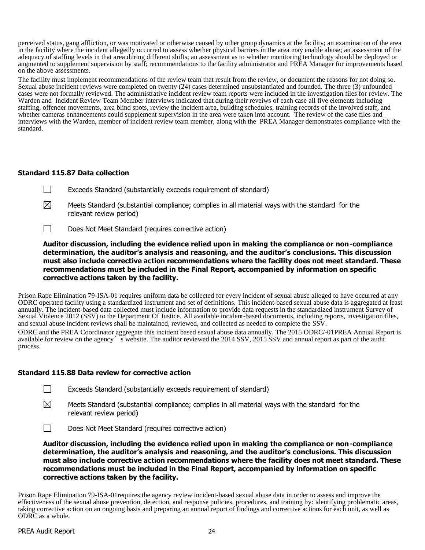perceived status, gang affliction, or was motivated or otherwise caused by other group dynamics at the facility; an examination of the area in the facility where the incident allegedly occurred to assess whether physical barriers in the area may enable abuse; an assessment of the adequacy of staffing levels in that area during different shifts; an assessment as to whether monitoring technology should be deployed or augmented to supplement supervision by staff; recommendations to the facility administrator and PREA Manager for improvements based on the above assessments.

The facility must implement recommendations of the review team that result from the review, or document the reasons for not doing so. Sexual abuse incident reviews were completed on twenty (24) cases determined unsubstantiated and founded. The three (3) unfounded cases were not formally reviewed. The administrative incident review team reports were included in the investigation files for review. The Warden and Incident Review Team Member interviews indicated that during their reveiws of each case all five elements including staffing, offender movements, area blind spots, review the incident area, building schedules, training records of the involved staff, and whether cameras enhancements could supplement supervision in the area were taken into account. The review of the case files and interviews with the Warden, member of incident review team member, along with the PREA Manager demonstrates compliance with the standard.

# **Standard 115.87 Data collection**

- $\Box$ Exceeds Standard (substantially exceeds requirement of standard)
- $\boxtimes$ Meets Standard (substantial compliance; complies in all material ways with the standard for the relevant review period)
- $\Box$ Does Not Meet Standard (requires corrective action)

**Auditor discussion, including the evidence relied upon in making the compliance or non-compliance determination, the auditor's analysis and reasoning, and the auditor's conclusions. This discussion must also include corrective action recommendations where the facility does not meet standard. These recommendations must be included in the Final Report, accompanied by information on specific corrective actions taken by the facility.**

Prison Rape Elimination 79-ISA-01 requires uniform data be collected for every incident of sexual abuse alleged to have occurred at any ODRC operated facility using a standardized instrument and set of definitions. This incident-based sexual abuse data is aggregated at least annually. The incident-based data collected must include information to provide data requests in the standardized instrument Survey of Sexual Violence 2012 (SSV) to the Department Of Justice. All available incident-based documents, including reports, investigation files, and sexual abuse incident reviews shall be maintained, reviewed, and collected as needed to complete the SSV.

ODRC and the PREA Coordinator aggregate this incident based sexual abuse data annually. The 2015 ODRC/-01PREA Annual Report is available for review on the agency's website. The auditor reviewed the 2014 SSV, 2015 SSV and annual report as part of the audit process.

#### **Standard 115.88 Data review for corrective action**

- $\Box$ Exceeds Standard (substantially exceeds requirement of standard)
- $\boxtimes$ Meets Standard (substantial compliance; complies in all material ways with the standard for the relevant review period)
- $\Box$ Does Not Meet Standard (requires corrective action)

**Auditor discussion, including the evidence relied upon in making the compliance or non-compliance determination, the auditor's analysis and reasoning, and the auditor's conclusions. This discussion must also include corrective action recommendations where the facility does not meet standard. These recommendations must be included in the Final Report, accompanied by information on specific corrective actions taken by the facility.**

Prison Rape Elimination 79-ISA-01requires the agency review incident-based sexual abuse data in order to assess and improve the effectiveness of the sexual abuse prevention, detection, and response policies, procedures, and training by: identifying problematic areas, taking corrective action on an ongoing basis and preparing an annual report of findings and corrective actions for each unit, as well as ODRC as a whole.